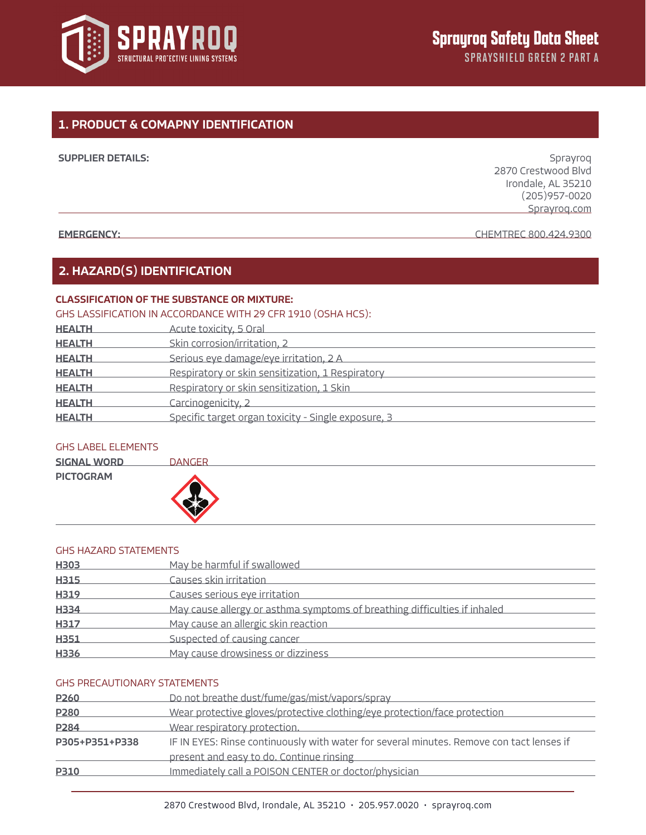

# 1. PRODUCT & COMAPNY IDENTIFICATION

| <b>SUPPLIER DETAILS:</b> | Sprayroq            |
|--------------------------|---------------------|
|                          | 2870 Crestwood Blvd |
|                          | Irondale, AL 35210  |
|                          | $(205)957 - 0020$   |
|                          | Sprayrog.com        |
|                          |                     |

EMERGENCY: CHEMTREC 800.424.9300

# 2. HAZARD(S) IDENTIFICATION

## CLASSIFICATION OF THE SUBSTANCE OR MIXTURE:

## GHS LASSIFICATION IN ACCORDANCE WITH 29 CFR 1910 (OSHA HCS):

| <b>HEALTH</b> | Acute toxicity, 5 Oral                              |
|---------------|-----------------------------------------------------|
| <b>HEALTH</b> | Skin corrosion/irritation, 2                        |
| <b>HEALTH</b> | Serious eye damage/eye irritation, 2 A              |
| <b>HEALTH</b> | Respiratory or skin sensitization, 1 Respiratory    |
| <b>HEALTH</b> | Respiratory or skin sensitization, 1 Skin           |
| <b>HEALTH</b> | Carcinogenicity, 2                                  |
| <b>HEALTH</b> | Specific target organ toxicity - Single exposure, 3 |

## GHS LABEL ELEMENTS

| <b>SIGNAL WORD</b> | <b>DANGER</b> |  |
|--------------------|---------------|--|
| <b>PICTOGRAM</b>   |               |  |

## GHS HAZARD STATEMENTS

| H303             | May be harmful if swallowed                                               |
|------------------|---------------------------------------------------------------------------|
| H315             | Causes skin irritation                                                    |
| H319             | Causes serious eye irritation                                             |
| H <sub>334</sub> | May cause allergy or asthma symptoms of breathing difficulties if inhaled |
| <b>H317</b>      | May cause an allergic skin reaction                                       |
| H351             | Suspected of causing cancer                                               |
| H336             | May cause drowsiness or dizziness                                         |

## GHS PRECAUTIONARY STATEMENTS

| P <sub>260</sub>                                                                                           | Do not breathe dust/fume/gas/mist/vapors/spray                            |  |  |
|------------------------------------------------------------------------------------------------------------|---------------------------------------------------------------------------|--|--|
| P <sub>280</sub>                                                                                           | Wear protective gloves/protective clothing/eye protection/face protection |  |  |
| P <sub>284</sub>                                                                                           | Wear respiratory protection.                                              |  |  |
| IF IN EYES: Rinse continuously with water for several minutes. Remove con tact lenses if<br>P305+P351+P338 |                                                                           |  |  |
|                                                                                                            | present and easy to do. Continue rinsing                                  |  |  |
| <b>P310</b>                                                                                                | Immediately call a POISON CENTER or doctor/physician                      |  |  |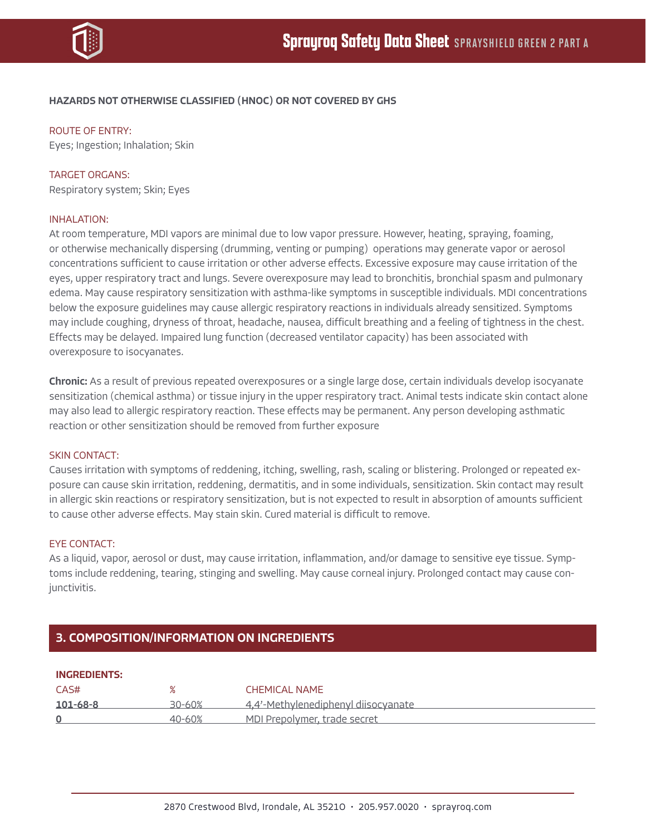

## HAZARDS NOT OTHERWISE CLASSIFIED (HNOC) OR NOT COVERED BY GHS

ROUTE OF ENTRY:

Eyes; Ingestion; Inhalation; Skin

## TARGET ORGANS:

Respiratory system; Skin; Eyes

#### INHALATION:

At room temperature, MDI vapors are minimal due to low vapor pressure. However, heating, spraying, foaming, or otherwise mechanically dispersing (drumming, venting or pumping) operations may generate vapor or aerosol concentrations sufficient to cause irritation or other adverse effects. Excessive exposure may cause irritation of the eyes, upper respiratory tract and lungs. Severe overexposure may lead to bronchitis, bronchial spasm and pulmonary edema. May cause respiratory sensitization with asthma-like symptoms in susceptible individuals. MDI concentrations below the exposure guidelines may cause allergic respiratory reactions in individuals already sensitized. Symptoms may include coughing, dryness of throat, headache, nausea, difficult breathing and a feeling of tightness in the chest. Effects may be delayed. Impaired lung function (decreased ventilator capacity) has been associated with overexposure to isocyanates.

Chronic: As a result of previous repeated overexposures or a single large dose, certain individuals develop isocyanate sensitization (chemical asthma) or tissue injury in the upper respiratory tract. Animal tests indicate skin contact alone may also lead to allergic respiratory reaction. These effects may be permanent. Any person developing asthmatic reaction or other sensitization should be removed from further exposure

#### SKIN CONTACT:

Causes irritation with symptoms of reddening, itching, swelling, rash, scaling or blistering. Prolonged or repeated exposure can cause skin irritation, reddening, dermatitis, and in some individuals, sensitization. Skin contact may result in allergic skin reactions or respiratory sensitization, but is not expected to result in absorption of amounts sufficient to cause other adverse effects. May stain skin. Cured material is difficult to remove.

#### EYE CONTACT:

As a liquid, vapor, aerosol or dust, may cause irritation, inflammation, and/or damage to sensitive eye tissue. Symptoms include reddening, tearing, stinging and swelling. May cause corneal injury. Prolonged contact may cause conjunctivitis.

## 3. COMPOSITION/INFORMATION ON INGREDIENTS

| <b>INGREDIENTS:</b> |        |                                     |
|---------------------|--------|-------------------------------------|
| CAS#                | ℅      | CHEMICAL NAME                       |
| $101 - 68 - 8$      | 30-60% | 4.4'-Methylenediphenyl diisocyanate |
|                     | 40-60% | MDI Prepolymer, trade secret        |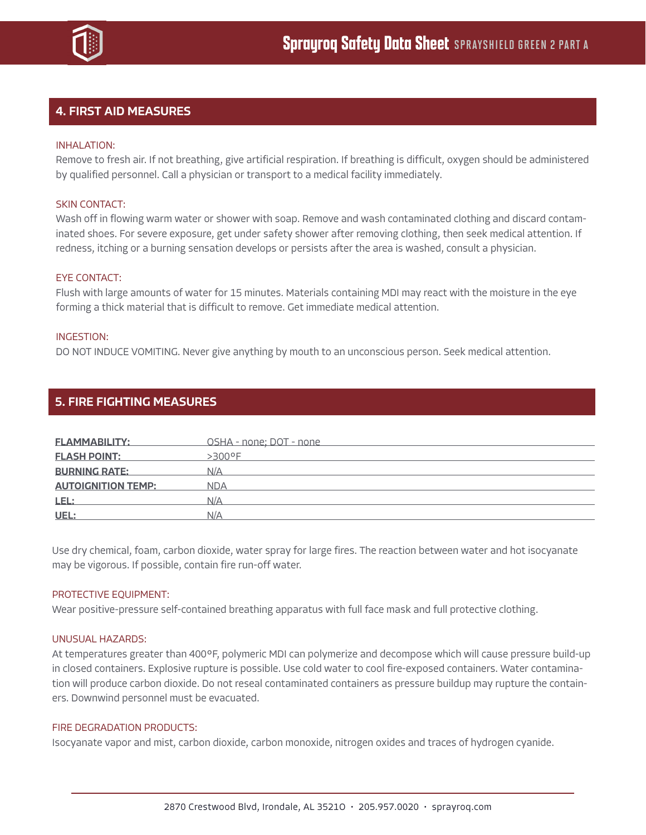

# 4. FIRST AID MEASURES

## INHALATION:

Remove to fresh air. If not breathing, give artificial respiration. If breathing is difficult, oxygen should be administered by qualified personnel. Call a physician or transport to a medical facility immediately.

## SKIN CONTACT:

Wash off in flowing warm water or shower with soap. Remove and wash contaminated clothing and discard contaminated shoes. For severe exposure, get under safety shower after removing clothing, then seek medical attention. If redness, itching or a burning sensation develops or persists after the area is washed, consult a physician.

## EYE CONTACT:

Flush with large amounts of water for 15 minutes. Materials containing MDI may react with the moisture in the eye forming a thick material that is difficult to remove. Get immediate medical attention.

## INGESTION:

DO NOT INDUCE VOMITING. Never give anything by mouth to an unconscious person. Seek medical attention.

| <b>FLAMMABILITY:</b>      | OSHA - none; DOT - none |
|---------------------------|-------------------------|
|                           |                         |
| <b>FLASH POINT:</b>       | $>300^{\circ}$ F        |
| <b>BURNING RATE:</b>      | N/A                     |
| <b>AUTOIGNITION TEMP:</b> | <b>NDA</b>              |
| <u>LEL:</u>               | N/A                     |
| UEL:                      | N/A                     |

Use dry chemical, foam, carbon dioxide, water spray for large fires. The reaction between water and hot isocyanate may be vigorous. If possible, contain fire run-off water.

## PROTECTIVE EQUIPMENT:

5. FIRE FIGHTING MEASURES

Wear positive-pressure self-contained breathing apparatus with full face mask and full protective clothing.

#### UNUSUAL HAZARDS:

At temperatures greater than 400°F, polymeric MDI can polymerize and decompose which will cause pressure build-up in closed containers. Explosive rupture is possible. Use cold water to cool fire-exposed containers. Water contamination will produce carbon dioxide. Do not reseal contaminated containers as pressure buildup may rupture the containers. Downwind personnel must be evacuated.

## FIRE DEGRADATION PRODUCTS:

Isocyanate vapor and mist, carbon dioxide, carbon monoxide, nitrogen oxides and traces of hydrogen cyanide.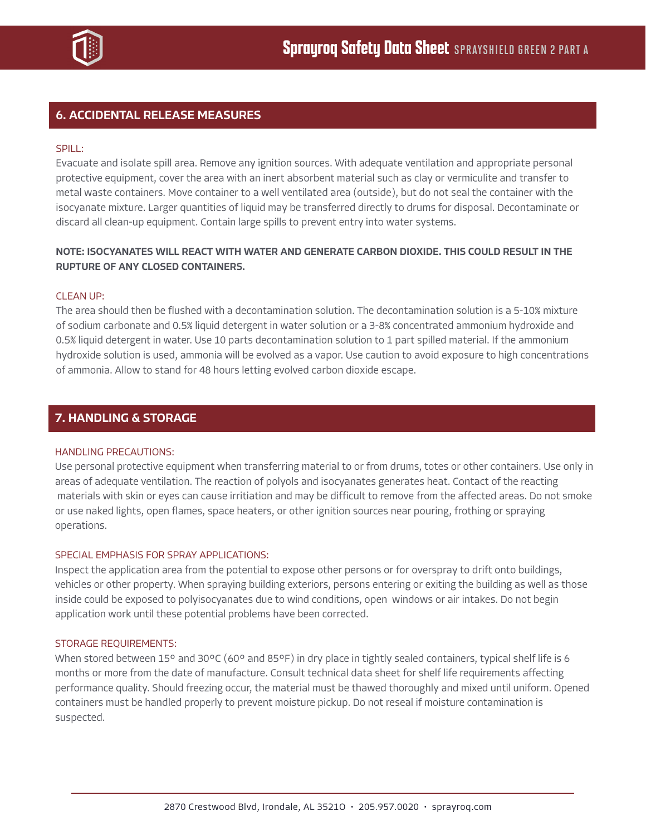

# 6. ACCIDENTAL RELEASE MEASURES

## SPILL:

Evacuate and isolate spill area. Remove any ignition sources. With adequate ventilation and appropriate personal protective equipment, cover the area with an inert absorbent material such as clay or vermiculite and transfer to metal waste containers. Move container to a well ventilated area (outside), but do not seal the container with the isocyanate mixture. Larger quantities of liquid may be transferred directly to drums for disposal. Decontaminate or discard all clean-up equipment. Contain large spills to prevent entry into water systems.

## NOTE: ISOCYANATES WILL REACT WITH WATER AND GENERATE CARBON DIOXIDE. THIS COULD RESULT IN THE RUPTURE OF ANY CLOSED CONTAINERS.

## CLEAN UP:

The area should then be flushed with a decontamination solution. The decontamination solution is a 5-10% mixture of sodium carbonate and 0.5% liquid detergent in water solution or a 3-8% concentrated ammonium hydroxide and 0.5% liquid detergent in water. Use 10 parts decontamination solution to 1 part spilled material. If the ammonium hydroxide solution is used, ammonia will be evolved as a vapor. Use caution to avoid exposure to high concentrations of ammonia. Allow to stand for 48 hours letting evolved carbon dioxide escape.

# 7. HANDLING & STORAGE

## HANDLING PRECAUTIONS:

Use personal protective equipment when transferring material to or from drums, totes or other containers. Use only in areas of adequate ventilation. The reaction of polyols and isocyanates generates heat. Contact of the reacting materials with skin or eyes can cause irritiation and may be difficult to remove from the affected areas. Do not smoke or use naked lights, open flames, space heaters, or other ignition sources near pouring, frothing or spraying operations.

## SPECIAL EMPHASIS FOR SPRAY APPLICATIONS:

Inspect the application area from the potential to expose other persons or for overspray to drift onto buildings, vehicles or other property. When spraying building exteriors, persons entering or exiting the building as well as those inside could be exposed to polyisocyanates due to wind conditions, open windows or air intakes. Do not begin application work until these potential problems have been corrected.

## STORAGE REQUIREMENTS:

When stored between 15° and 30°C (60° and 85°F) in dry place in tightly sealed containers, typical shelf life is 6 months or more from the date of manufacture. Consult technical data sheet for shelf life requirements affecting performance quality. Should freezing occur, the material must be thawed thoroughly and mixed until uniform. Opened containers must be handled properly to prevent moisture pickup. Do not reseal if moisture contamination is suspected.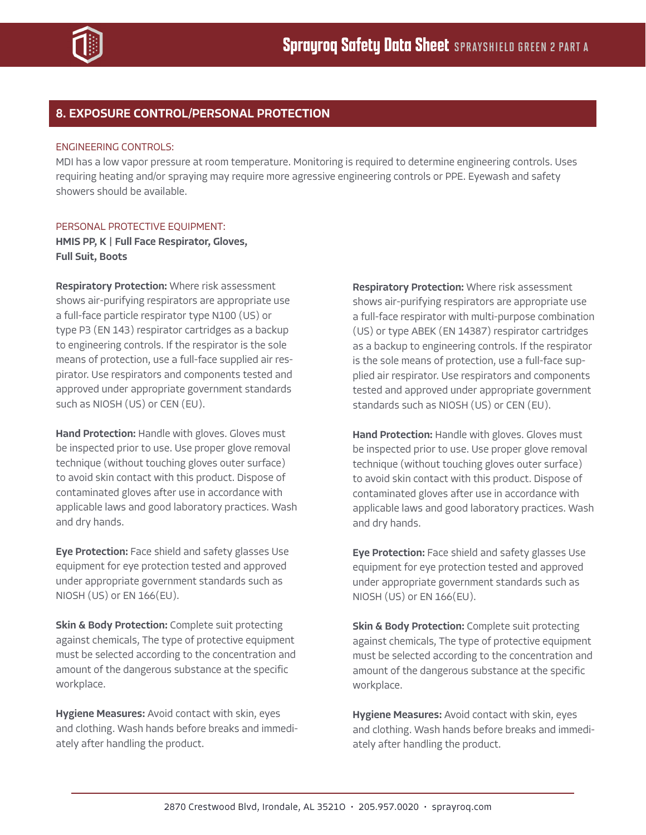

# 8. EXPOSURE CONTROL/PERSONAL PROTECTION

## ENGINEERING CONTROLS:

MDI has a low vapor pressure at room temperature. Monitoring is required to determine engineering controls. Uses requiring heating and/or spraying may require more agressive engineering controls or PPE. Eyewash and safety showers should be available.

## PERSONAL PROTECTIVE EQUIPMENT:

HMIS PP, K | Full Face Respirator, Gloves, Full Suit, Boots

Respiratory Protection: Where risk assessment shows air-purifying respirators are appropriate use a full-face particle respirator type N100 (US) or type P3 (EN 143) respirator cartridges as a backup to engineering controls. If the respirator is the sole means of protection, use a full-face supplied air respirator. Use respirators and components tested and approved under appropriate government standards such as NIOSH (US) or CEN (EU).

Hand Protection: Handle with gloves. Gloves must be inspected prior to use. Use proper glove removal technique (without touching gloves outer surface) to avoid skin contact with this product. Dispose of contaminated gloves after use in accordance with applicable laws and good laboratory practices. Wash and dry hands.

Eye Protection: Face shield and safety glasses Use equipment for eye protection tested and approved under appropriate government standards such as NIOSH (US) or EN 166(EU).

**Skin & Body Protection:** Complete suit protecting against chemicals, The type of protective equipment must be selected according to the concentration and amount of the dangerous substance at the specific workplace.

Hygiene Measures: Avoid contact with skin, eyes and clothing. Wash hands before breaks and immediately after handling the product.

**Respiratory Protection: Where risk assessment** shows air-purifying respirators are appropriate use a full-face respirator with multi-purpose combination (US) or type ABEK (EN 14387) respirator cartridges as a backup to engineering controls. If the respirator is the sole means of protection, use a full-face supplied air respirator. Use respirators and components tested and approved under appropriate government standards such as NIOSH (US) or CEN (EU).

Hand Protection: Handle with gloves. Gloves must be inspected prior to use. Use proper glove removal technique (without touching gloves outer surface) to avoid skin contact with this product. Dispose of contaminated gloves after use in accordance with applicable laws and good laboratory practices. Wash and dry hands.

Eve Protection: Face shield and safety glasses Use equipment for eye protection tested and approved under appropriate government standards such as NIOSH (US) or EN 166(EU).

**Skin & Body Protection:** Complete suit protecting against chemicals, The type of protective equipment must be selected according to the concentration and amount of the dangerous substance at the specific workplace.

Hygiene Measures: Avoid contact with skin, eyes and clothing. Wash hands before breaks and immediately after handling the product.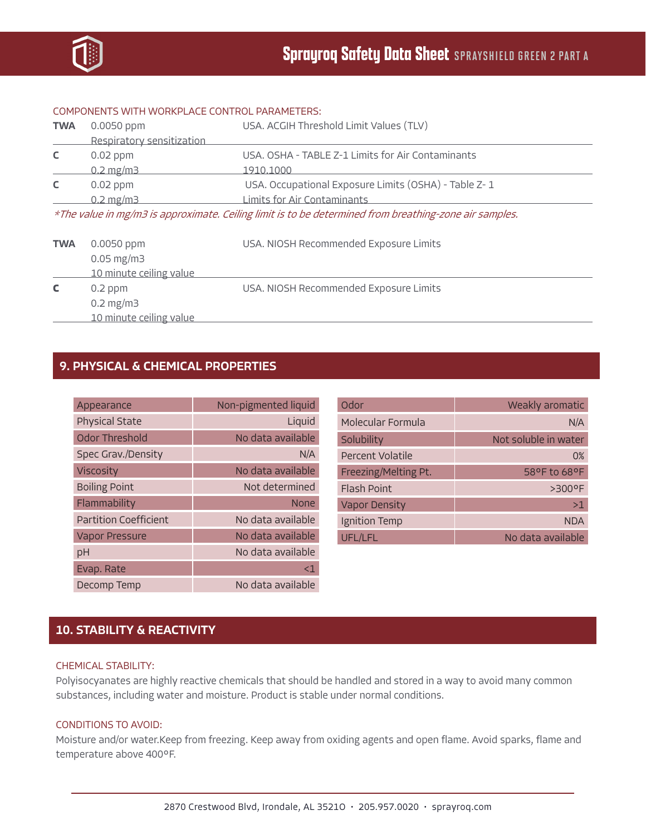

#### COMPONENTS WITH WORKPLACE CONTROL PARAMETERS:

| <b>TWA</b>                                                                                             | $0.0050$ ppm              | USA. ACGIH Threshold Limit Values (TLV)              |  |
|--------------------------------------------------------------------------------------------------------|---------------------------|------------------------------------------------------|--|
|                                                                                                        | Respiratory sensitization |                                                      |  |
| C                                                                                                      | $0.02$ ppm                | USA. OSHA - TABLE Z-1 Limits for Air Contaminants    |  |
|                                                                                                        | $0.2 \,\mathrm{mg/m3}$    | 1910.1000                                            |  |
| C                                                                                                      | $0.02$ ppm                | USA. Occupational Exposure Limits (OSHA) - Table Z-1 |  |
|                                                                                                        | $0.2 \,\mathrm{mg/m3}$    | Limits for Air Contaminants                          |  |
| *The value in mg/m3 is approximate. Ceiling limit is to be determined from breathing-zone air samples. |                           |                                                      |  |

| 10 minute ceiling value |                                        |
|-------------------------|----------------------------------------|
| $0.05 \,\mathrm{mg/m}$  |                                        |
| <b>TWA</b> $0.0050$ ppm | USA. NIOSH Recommended Exposure Limits |
|                         |                                        |

**C** 0.2 ppm USA. NIOSH Recommended Exposure Limits 0.2 mg/m3 10 minute ceiling value

# 9. PHYSICAL & CHEMICAL PROPERTIES

| Appearance                   | Non-pigmented liquid |
|------------------------------|----------------------|
| Physical State               | Liquid               |
| Odor Threshold               | No data available    |
| Spec Grav./Density           | N/A                  |
| <b>Viscosity</b>             | No data available    |
| <b>Boiling Point</b>         | Not determined       |
| Flammability                 | <b>None</b>          |
| <b>Partition Coefficient</b> | No data available    |
| <b>Vapor Pressure</b>        | No data available    |
| рH                           | No data available    |
| Evap. Rate                   | <1                   |
| Decomp Temp                  | No data available    |

| Odor                 | Weakly aromatic      |
|----------------------|----------------------|
| Molecular Formula    | N/A                  |
| Solubility           | Not soluble in water |
| Percent Volatile     | 0%                   |
| Freezing/Melting Pt. | 58°F to 68°F         |
| <b>Flash Point</b>   | $>300^{\circ}$ F     |
| <b>Vapor Density</b> | >1                   |
| Ignition Temp        | <b>NDA</b>           |
| UFL/LFL              | No data available    |

# 10. STABILITY & REACTIVITY

#### CHEMICAL STABILITY:

Polyisocyanates are highly reactive chemicals that should be handled and stored in a way to avoid many common substances, including water and moisture. Product is stable under normal conditions.

## CONDITIONS TO AVOID:

Moisture and/or water.Keep from freezing. Keep away from oxiding agents and open flame. Avoid sparks, flame and temperature above 400°F.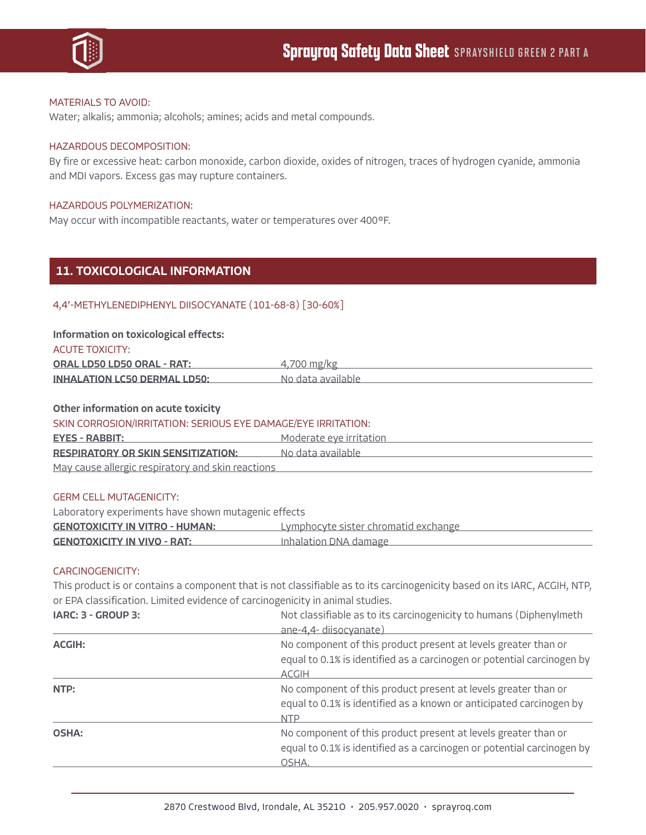

## MATERIALS TO AVOID:

Water; alkalis; ammonia; alcohols; amines; acids and metal compounds.

## HAZARDOUS DECOMPOSITION:

By fire or excessive heat: carbon monoxide, carbon dioxide, oxides of nitrogen, traces of hydrogen cyanide, ammonia and MDI vapors. Excess gas may rupture containers.

#### HAZARDOUS POLYMERIZATION:

May occur with incompatible reactants, water or temperatures over 400°F.

## 11. TOXICOLOGICAL INFORMATION

## 4,4'-METHYLENEDIPHENYL DIISOCYANATE (101-68-8) [30-60%]

#### Information on toxicological effects:

|  | <b>ACUTE TOXICITY:</b> |  |
|--|------------------------|--|
|  |                        |  |

| <b>ORAL LD50 LD50 ORAL - RAT:</b>   | 4.700 mg/kg       |
|-------------------------------------|-------------------|
| <b>INHALATION LC50 DERMAL LD50:</b> | No data available |

## Other information on acute toxicity

#### SKIN CORROSION/IRRITATION: SERIOUS EYE DAMAGE/EYE IRRITATION:

| <b>EYES - RABBIT:</b>                                                  | Moderate eve irritation |
|------------------------------------------------------------------------|-------------------------|
| <b>RESPIRATORY OR SKIN SENSITIZATION:</b>                              | No data available       |
| المستحلفة والمستحدات والمستحدث والمستحدث والمستحال والمستحدث والمستحدث |                         |

May cause allergic respiratory and skin reactions

#### GERM CELL MUTAGENICITY:

Laboratory experiments have shown mutagenic effects GENOTOXICITY IN VITRO - HUMAN: Lymphocyte sister chromatid exchange GENOTOXICITY IN VIVO - RAT: Inhalation DNA damage

## CARCINOGENICITY:

This product is or contains a component that is not classifiable as to its carcinogenicity based on its IARC, ACGIH, NTP, or EPA classification. Limited evidence of carcinogenicity in animal studies.

| IARC: 3 - GROUP 3: | Not classifiable as to its carcinogenicity to humans (Diphenylmeth                                                                                       |
|--------------------|----------------------------------------------------------------------------------------------------------------------------------------------------------|
|                    | ane-4,4- diisocyanate)                                                                                                                                   |
| <b>ACGIH:</b>      | No component of this product present at levels greater than or<br>equal to 0.1% is identified as a carcinogen or potential carcinogen by<br><b>ACGIH</b> |
| NTP:               | No component of this product present at levels greater than or<br>equal to 0.1% is identified as a known or anticipated carcinogen by<br><b>NTP</b>      |
| <b>OSHA:</b>       | No component of this product present at levels greater than or<br>equal to 0.1% is identified as a carcinogen or potential carcinogen by<br>OSHA.        |
|                    |                                                                                                                                                          |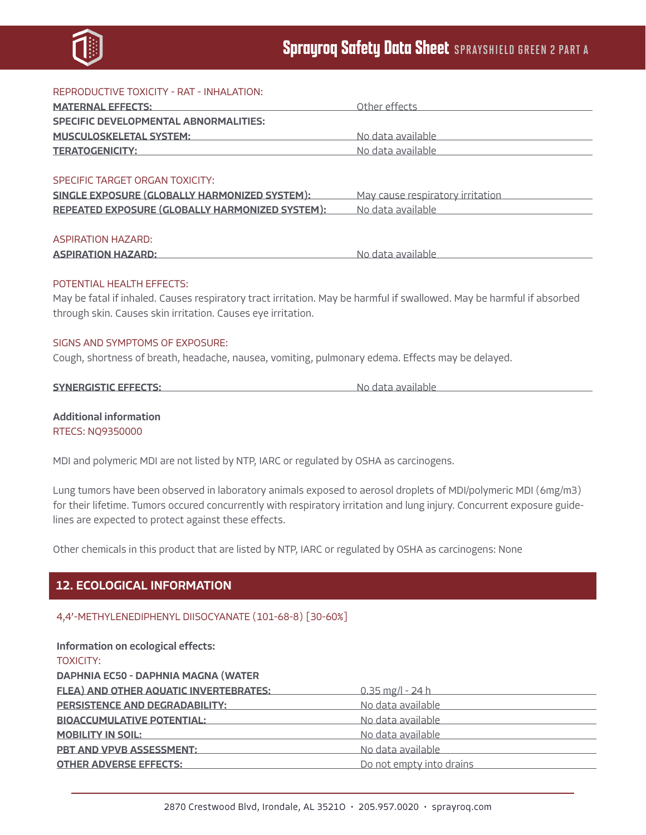

| REPRODUCTIVE TOXICITY - RAT - INHALATION:                                                                                                                                                                                     |                                                                                                                                                                                                                                |
|-------------------------------------------------------------------------------------------------------------------------------------------------------------------------------------------------------------------------------|--------------------------------------------------------------------------------------------------------------------------------------------------------------------------------------------------------------------------------|
| <b>MATERNAL EFFECTS:</b> MATERNAL EFFECTS:                                                                                                                                                                                    | Other effects <b>Community</b> Other effects                                                                                                                                                                                   |
| <b>SPECIFIC DEVELOPMENTAL ABNORMALITIES:</b>                                                                                                                                                                                  |                                                                                                                                                                                                                                |
| MUSCULOSKELETAL SYSTEM: NORTH THE SAME AND THE STATE OF THE STATE OF THE STATE OF THE STATE OF THE STATE OF THE STATE OF THE STATE OF THE STATE OF THE STATE OF THE STATE OF THE STATE OF THE STATE OF THE STATE OF THE STATE |                                                                                                                                                                                                                                |
| <b>TERATOGENICITY:</b> TERATOGENICITY:                                                                                                                                                                                        | No data available <b>No. 1998</b>                                                                                                                                                                                              |
|                                                                                                                                                                                                                               |                                                                                                                                                                                                                                |
| SPECIFIC TARGET ORGAN TOXICITY:                                                                                                                                                                                               |                                                                                                                                                                                                                                |
| SINGLE EXPOSURE (GLOBALLY HARMONIZED SYSTEM):                                                                                                                                                                                 | May cause respiratory irritation                                                                                                                                                                                               |
| REPEATED EXPOSURE (GLOBALLY HARMONIZED SYSTEM):                                                                                                                                                                               | No data available and a series and a series of the series of the series of the series of the series of the series of the series of the series of the series of the series of the series of the series of the series of the ser |
|                                                                                                                                                                                                                               |                                                                                                                                                                                                                                |
| <b>ASPIRATION HAZARD:</b>                                                                                                                                                                                                     |                                                                                                                                                                                                                                |
| <b>ASPIRATION HAZARD:</b>                                                                                                                                                                                                     | No data available <b>contracts</b>                                                                                                                                                                                             |
|                                                                                                                                                                                                                               |                                                                                                                                                                                                                                |
| POTENTIAL HEALTH FEFECTS:                                                                                                                                                                                                     |                                                                                                                                                                                                                                |
| May be fatal if inhaled. Causes respiratory tract irritation. May be harmful if swallowed. May be harmful if absorbed                                                                                                         |                                                                                                                                                                                                                                |
| through skin. Causes skin irritation. Causes eye irritation.                                                                                                                                                                  |                                                                                                                                                                                                                                |
|                                                                                                                                                                                                                               |                                                                                                                                                                                                                                |
| SIGNS AND SYMPTOMS OF EXPOSURE:                                                                                                                                                                                               |                                                                                                                                                                                                                                |
| Cough, shortness of breath, headache, nausea, vomiting, pulmonary edema. Effects may be delayed.                                                                                                                              |                                                                                                                                                                                                                                |
|                                                                                                                                                                                                                               |                                                                                                                                                                                                                                |
| <b>SYNERGISTIC EFFECTS:</b>                                                                                                                                                                                                   | No data available                                                                                                                                                                                                              |
|                                                                                                                                                                                                                               |                                                                                                                                                                                                                                |

Additional information RTECS: NQ9350000

MDI and polymeric MDI are not listed by NTP, IARC or regulated by OSHA as carcinogens.

Lung tumors have been observed in laboratory animals exposed to aerosol droplets of MDI/polymeric MDI (6mg/m3) for their lifetime. Tumors occured concurrently with respiratory irritation and lung injury. Concurrent exposure guidelines are expected to protect against these effects.

Other chemicals in this product that are listed by NTP, IARC or regulated by OSHA as carcinogens: None

# 12. ECOLOGICAL INFORMATION

## 4,4'-METHYLENEDIPHENYL DIISOCYANATE (101-68-8) [30-60%]

| Information on ecological effects:            |                          |
|-----------------------------------------------|--------------------------|
| <b>TOXICITY:</b>                              |                          |
| <b>DAPHNIA EC50 - DAPHNIA MAGNA (WATER</b>    |                          |
| <b>FLEA) AND OTHER AQUATIC INVERTEBRATES:</b> | $0.35$ mg/l - 24 h       |
| PERSISTENCE AND DEGRADABILITY:                | No data available        |
| <b>BIOACCUMULATIVE POTENTIAL:</b>             | No data available        |
| <b>MOBILITY IN SOIL:</b>                      | No data available        |
| <b>PBT AND VPVB ASSESSMENT:</b>               | No data available        |
| <b>OTHER ADVERSE EFFECTS:</b>                 | Do not empty into drains |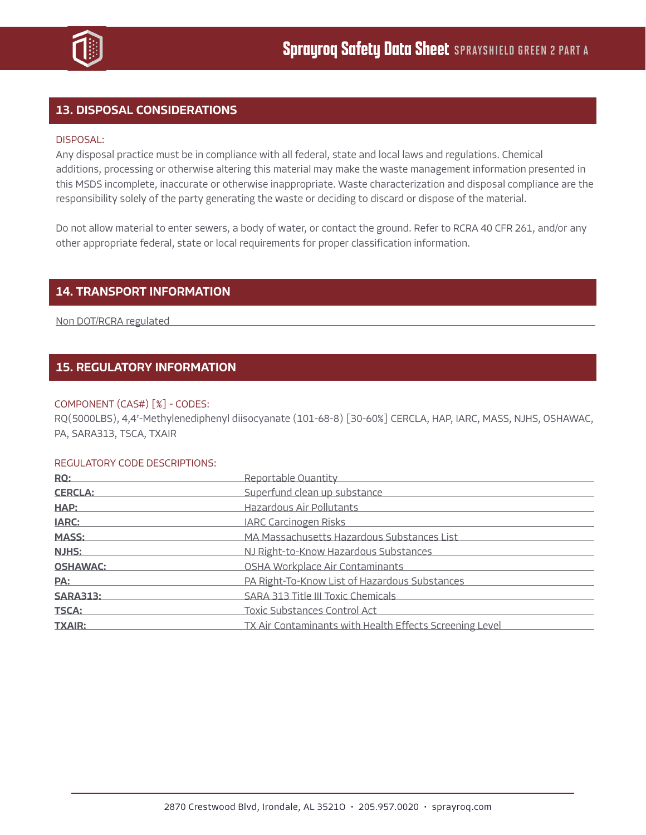

# 13. DISPOSAL CONSIDERATIONS

## DISPOSAL:

Any disposal practice must be in compliance with all federal, state and local laws and regulations. Chemical additions, processing or otherwise altering this material may make the waste management information presented in this MSDS incomplete, inaccurate or otherwise inappropriate. Waste characterization and disposal compliance are the responsibility solely of the party generating the waste or deciding to discard or dispose of the material.

Do not allow material to enter sewers, a body of water, or contact the ground. Refer to RCRA 40 CFR 261, and/or any other appropriate federal, state or local requirements for proper classification information.

## 14. TRANSPORT INFORMATION

Non DOT/RCRA regulated

# 15. REGULATORY INFORMATION

## COMPONENT (CAS#) [%] - CODES:

RQ(5000LBS), 4,4'-Methylenediphenyl diisocyanate (101-68-8) [30-60%] CERCLA, HAP, IARC, MASS, NJHS, OSHAWAC, PA, SARA313, TSCA, TXAIR

#### REGULATORY CODE DESCRIPTIONS:

| RQ:             | Reportable Quantity                                     |
|-----------------|---------------------------------------------------------|
| <b>CERCLA:</b>  | Superfund clean up substance                            |
| HAP:            | Hazardous Air Pollutants                                |
| <b>IARC:</b>    | <b>IARC Carcinogen Risks</b>                            |
| <b>MASS:</b>    | MA Massachusetts Hazardous Substances List              |
| <b>NJHS:</b>    | NJ Right-to-Know Hazardous Substances                   |
| <b>OSHAWAC:</b> | OSHA Workplace Air Contaminants                         |
| PA:             | PA Right-To-Know List of Hazardous Substances           |
| <b>SARA313:</b> | SARA 313 Title III Toxic Chemicals                      |
| <b>TSCA:</b>    | Toxic Substances Control Act                            |
| <b>TXAIR:</b>   | TX Air Contaminants with Health Effects Screening Level |